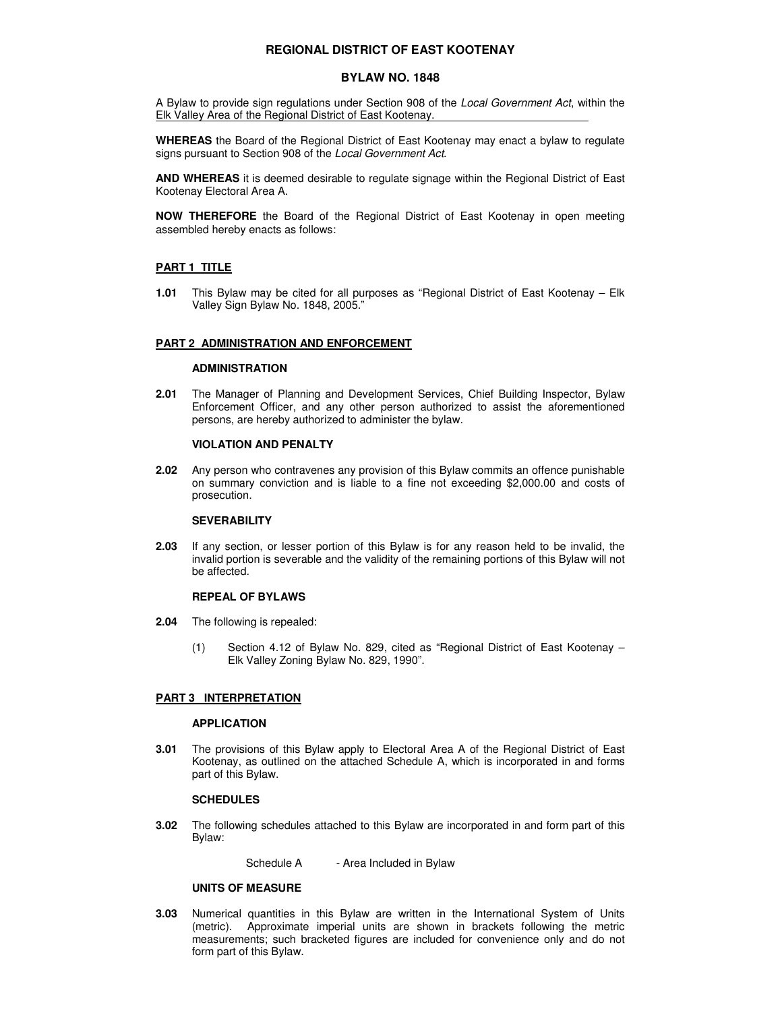# **REGIONAL DISTRICT OF EAST KOOTENAY**

# **BYLAW NO. 1848**

A Bylaw to provide sign regulations under Section 908 of the Local Government Act, within the Elk Valley Area of the Regional District of East Kootenay.

**WHEREAS** the Board of the Regional District of East Kootenay may enact a bylaw to regulate signs pursuant to Section 908 of the Local Government Act.

**AND WHEREAS** it is deemed desirable to regulate signage within the Regional District of East Kootenay Electoral Area A.

**NOW THEREFORE** the Board of the Regional District of East Kootenay in open meeting assembled hereby enacts as follows:

## **PART 1 TITLE**

**1.01** This Bylaw may be cited for all purposes as "Regional District of East Kootenay – Elk Valley Sign Bylaw No. 1848, 2005."

#### **PART 2 ADMINISTRATION AND ENFORCEMENT**

## **ADMINISTRATION**

**2.01** The Manager of Planning and Development Services, Chief Building Inspector, Bylaw Enforcement Officer, and any other person authorized to assist the aforementioned persons, are hereby authorized to administer the bylaw.

#### **VIOLATION AND PENALTY**

**2.02** Any person who contravenes any provision of this Bylaw commits an offence punishable on summary conviction and is liable to a fine not exceeding \$2,000.00 and costs of prosecution.

## **SEVERABILITY**

**2.03** If any section, or lesser portion of this Bylaw is for any reason held to be invalid, the invalid portion is severable and the validity of the remaining portions of this Bylaw will not be affected.

## **REPEAL OF BYLAWS**

- **2.04** The following is repealed:
	- (1) Section 4.12 of Bylaw No. 829, cited as "Regional District of East Kootenay Elk Valley Zoning Bylaw No. 829, 1990".

## **PART 3 INTERPRETATION**

#### **APPLICATION**

**3.01** The provisions of this Bylaw apply to Electoral Area A of the Regional District of East Kootenay, as outlined on the attached Schedule A, which is incorporated in and forms part of this Bylaw.

#### **SCHEDULES**

**3.02** The following schedules attached to this Bylaw are incorporated in and form part of this Bylaw:

Schedule A - Area Included in Bylaw

## **UNITS OF MEASURE**

**3.03** Numerical quantities in this Bylaw are written in the International System of Units (metric). Approximate imperial units are shown in brackets following the metric measurements; such bracketed figures are included for convenience only and do not form part of this Bylaw.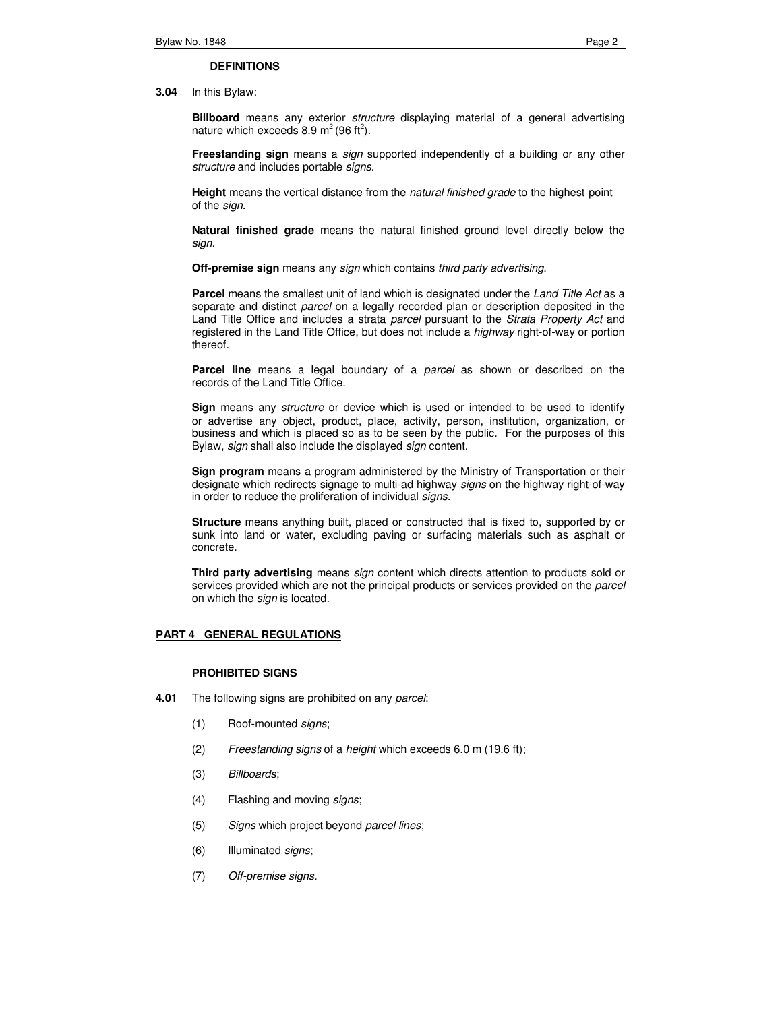#### **DEFINITIONS**

**3.04** In this Bylaw:

**Billboard** means any exterior structure displaying material of a general advertising nature which exceeds 8.9  $m^2$  (96 ft<sup>2</sup>).

**Freestanding sign** means a sign supported independently of a building or any other structure and includes portable signs.

**Height** means the vertical distance from the natural finished grade to the highest point of the sign.

 **Natural finished grade** means the natural finished ground level directly below the sign.

**Off-premise sign** means any sign which contains third party advertising.

**Parcel** means the smallest unit of land which is designated under the Land Title Act as a separate and distinct *parcel* on a legally recorded plan or description deposited in the Land Title Office and includes a strata parcel pursuant to the Strata Property Act and registered in the Land Title Office, but does not include a highway right-of-way or portion thereof.

**Parcel line** means a legal boundary of a parcel as shown or described on the records of the Land Title Office.

 **Sign** means any structure or device which is used or intended to be used to identify or advertise any object, product, place, activity, person, institution, organization, or business and which is placed so as to be seen by the public. For the purposes of this Bylaw, sign shall also include the displayed sign content.

**Sign program** means a program administered by the Ministry of Transportation or their designate which redirects signage to multi-ad highway signs on the highway right-of-way in order to reduce the proliferation of individual signs.

**Structure** means anything built, placed or constructed that is fixed to, supported by or sunk into land or water, excluding paving or surfacing materials such as asphalt or concrete.

**Third party advertising** means *sign* content which directs attention to products sold or services provided which are not the principal products or services provided on the parcel on which the *sign* is located.

### **PART 4 GENERAL REGULATIONS**

### **PROHIBITED SIGNS**

- **4.01** The following signs are prohibited on any parcel:
	- (1) Roof-mounted signs;
	- (2) Freestanding signs of a height which exceeds 6.0 m (19.6 ft);
	- (3) Billboards;
	- (4) Flashing and moving signs;
	- (5) Signs which project beyond parcel lines;
	- (6) Illuminated signs;
	- (7) Off-premise signs.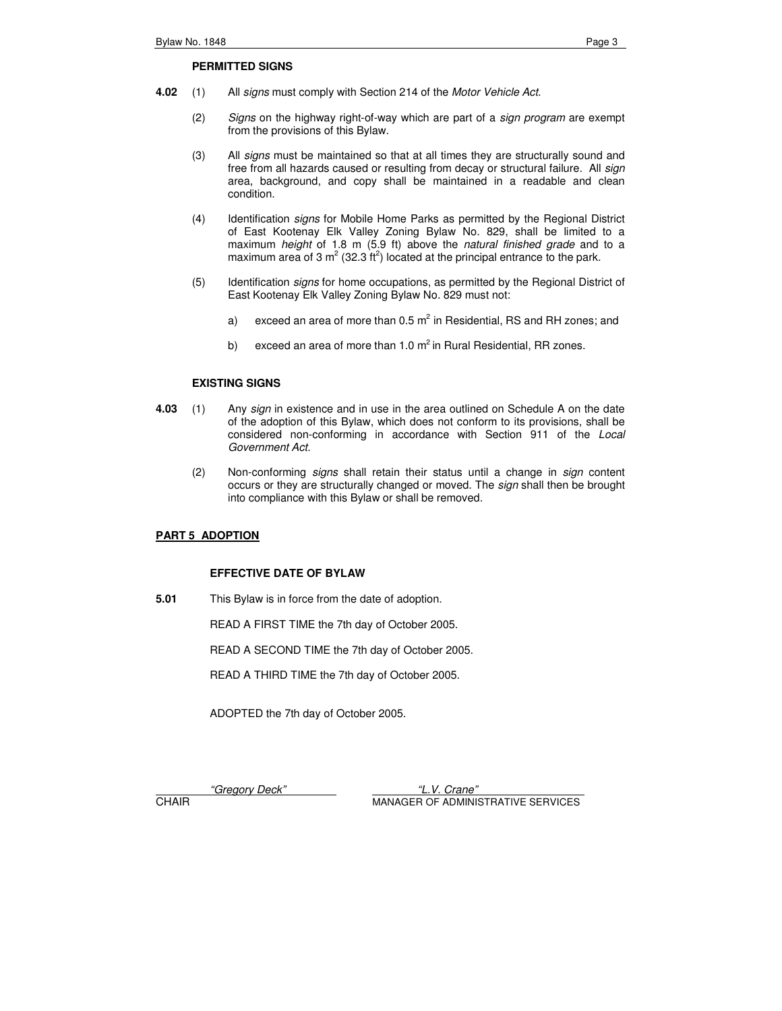## **PERMITTED SIGNS**

- **4.02** (1) All signs must comply with Section 214 of the Motor Vehicle Act.
	- (2) Signs on the highway right-of-way which are part of a sign program are exempt from the provisions of this Bylaw.
	- (3) All signs must be maintained so that at all times they are structurally sound and free from all hazards caused or resulting from decay or structural failure. All sign area, background, and copy shall be maintained in a readable and clean condition.
	- (4) Identification signs for Mobile Home Parks as permitted by the Regional District of East Kootenay Elk Valley Zoning Bylaw No. 829, shall be limited to a maximum height of 1.8 m (5.9 ft) above the natural finished grade and to a maximum area of 3  $m^2$  (32.3 ft<sup>2</sup>) located at the principal entrance to the park.
	- (5) Identification signs for home occupations, as permitted by the Regional District of East Kootenay Elk Valley Zoning Bylaw No. 829 must not:
		- a) exceed an area of more than 0.5  $m^2$  in Residential, RS and RH zones; and
			- b) exceed an area of more than 1.0  $m^2$  in Rural Residential, RR zones.

# **EXISTING SIGNS**

- **4.03** (1) Any sign in existence and in use in the area outlined on Schedule A on the date of the adoption of this Bylaw, which does not conform to its provisions, shall be considered non-conforming in accordance with Section 911 of the Local Government Act.
	- (2) Non-conforming signs shall retain their status until a change in sign content occurs or they are structurally changed or moved. The sign shall then be brought into compliance with this Bylaw or shall be removed.

# **PART 5 ADOPTION**

## **EFFECTIVE DATE OF BYLAW**

**5.01** This Bylaw is in force from the date of adoption.

READ A FIRST TIME the 7th day of October 2005.

READ A SECOND TIME the 7th day of October 2005.

READ A THIRD TIME the 7th day of October 2005.

ADOPTED the 7th day of October 2005.

"Gregory Deck" "L.V. Crane" **CHAIR** MANAGER OF ADMINISTRATIVE SERVICES